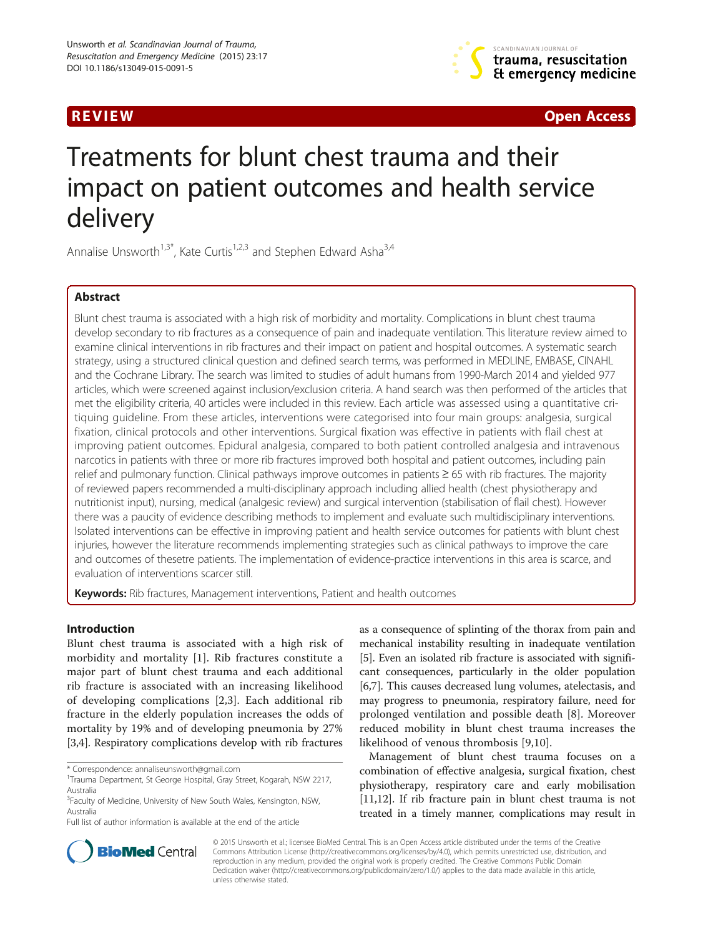

**REVIEW CONSIDERING CONSIDERING CONSIDERING CONSIDERING CONSIDERING CONSIDERING CONSIDERING CONSIDERING CONSIDERING CONSIDERING CONSIDERING CONSIDERING CONSIDERING CONSIDERING CONSIDERING CONSIDERING CONSIDERING CONSIDER** 

# Treatments for blunt chest trauma and their impact on patient outcomes and health service delivery

Annalise Unsworth<sup>1,3\*</sup>, Kate Curtis<sup>1,2,3</sup> and Stephen Edward Asha<sup>3,4</sup>

# Abstract

Blunt chest trauma is associated with a high risk of morbidity and mortality. Complications in blunt chest trauma develop secondary to rib fractures as a consequence of pain and inadequate ventilation. This literature review aimed to examine clinical interventions in rib fractures and their impact on patient and hospital outcomes. A systematic search strategy, using a structured clinical question and defined search terms, was performed in MEDLINE, EMBASE, CINAHL and the Cochrane Library. The search was limited to studies of adult humans from 1990-March 2014 and yielded 977 articles, which were screened against inclusion/exclusion criteria. A hand search was then performed of the articles that met the eligibility criteria, 40 articles were included in this review. Each article was assessed using a quantitative critiquing guideline. From these articles, interventions were categorised into four main groups: analgesia, surgical fixation, clinical protocols and other interventions. Surgical fixation was effective in patients with flail chest at improving patient outcomes. Epidural analgesia, compared to both patient controlled analgesia and intravenous narcotics in patients with three or more rib fractures improved both hospital and patient outcomes, including pain relief and pulmonary function. Clinical pathways improve outcomes in patients ≥ 65 with rib fractures. The majority of reviewed papers recommended a multi-disciplinary approach including allied health (chest physiotherapy and nutritionist input), nursing, medical (analgesic review) and surgical intervention (stabilisation of flail chest). However there was a paucity of evidence describing methods to implement and evaluate such multidisciplinary interventions. Isolated interventions can be effective in improving patient and health service outcomes for patients with blunt chest injuries, however the literature recommends implementing strategies such as clinical pathways to improve the care and outcomes of thesetre patients. The implementation of evidence-practice interventions in this area is scarce, and evaluation of interventions scarcer still.

Keywords: Rib fractures, Management interventions, Patient and health outcomes

# Introduction

Blunt chest trauma is associated with a high risk of morbidity and mortality [[1\]](#page-6-0). Rib fractures constitute a major part of blunt chest trauma and each additional rib fracture is associated with an increasing likelihood of developing complications [\[2](#page-6-0),[3\]](#page-6-0). Each additional rib fracture in the elderly population increases the odds of mortality by 19% and of developing pneumonia by 27% [[3,4](#page-6-0)]. Respiratory complications develop with rib fractures

as a consequence of splinting of the thorax from pain and mechanical instability resulting in inadequate ventilation [[5\]](#page-6-0). Even an isolated rib fracture is associated with significant consequences, particularly in the older population [[6,7\]](#page-6-0). This causes decreased lung volumes, atelectasis, and may progress to pneumonia, respiratory failure, need for prolonged ventilation and possible death [[8\]](#page-6-0). Moreover reduced mobility in blunt chest trauma increases the likelihood of venous thrombosis [\[9](#page-6-0)[,10](#page-7-0)].

Management of blunt chest trauma focuses on a combination of effective analgesia, surgical fixation, chest physiotherapy, respiratory care and early mobilisation [[11](#page-7-0),[12](#page-7-0)]. If rib fracture pain in blunt chest trauma is not treated in a timely manner, complications may result in



© 2015 Unsworth et al.; licensee BioMed Central. This is an Open Access article distributed under the terms of the Creative Commons Attribution License [\(http://creativecommons.org/licenses/by/4.0\)](http://creativecommons.org/licenses/by/4.0), which permits unrestricted use, distribution, and reproduction in any medium, provided the original work is properly credited. The Creative Commons Public Domain Dedication waiver [\(http://creativecommons.org/publicdomain/zero/1.0/](http://creativecommons.org/publicdomain/zero/1.0/)) applies to the data made available in this article, unless otherwise stated.

<sup>\*</sup> Correspondence: [annaliseunsworth@gmail.com](mailto:annaliseunsworth@gmail.com) <sup>1</sup>

<sup>&</sup>lt;sup>1</sup>Trauma Department, St George Hospital, Gray Street, Kogarah, NSW 2217, Australia

<sup>&</sup>lt;sup>3</sup>Faculty of Medicine, University of New South Wales, Kensington, NSW, Australia

Full list of author information is available at the end of the article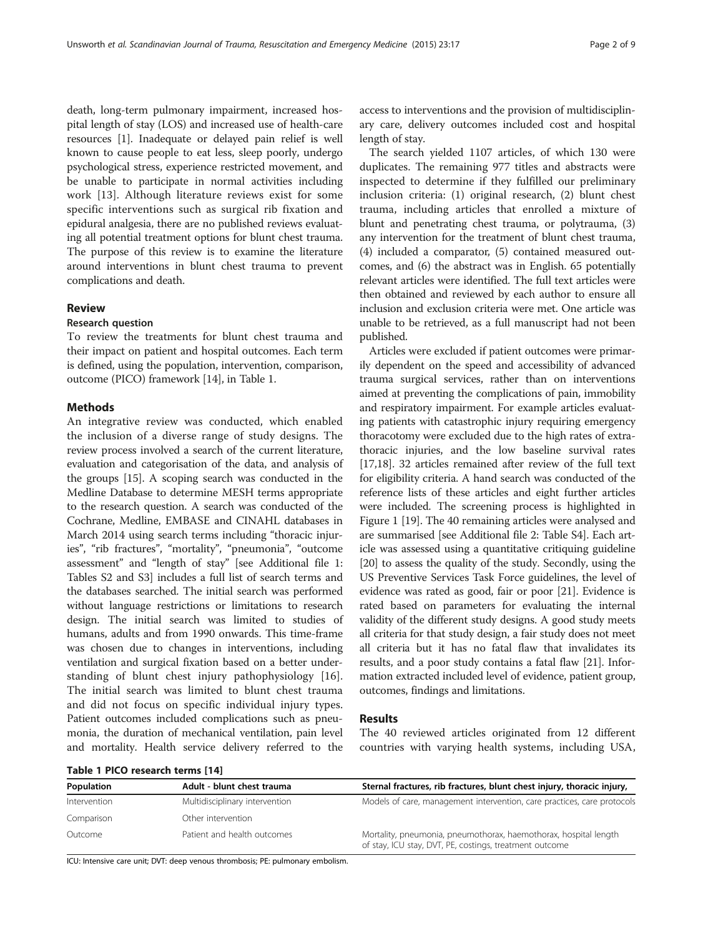death, long-term pulmonary impairment, increased hospital length of stay (LOS) and increased use of health-care resources [[1](#page-6-0)]. Inadequate or delayed pain relief is well known to cause people to eat less, sleep poorly, undergo psychological stress, experience restricted movement, and be unable to participate in normal activities including work [[13\]](#page-7-0). Although literature reviews exist for some specific interventions such as surgical rib fixation and epidural analgesia, there are no published reviews evaluating all potential treatment options for blunt chest trauma. The purpose of this review is to examine the literature around interventions in blunt chest trauma to prevent complications and death.

#### Review

### Research question

To review the treatments for blunt chest trauma and their impact on patient and hospital outcomes. Each term is defined, using the population, intervention, comparison, outcome (PICO) framework [[14\]](#page-7-0), in Table 1.

## Methods

An integrative review was conducted, which enabled the inclusion of a diverse range of study designs. The review process involved a search of the current literature, evaluation and categorisation of the data, and analysis of the groups [[15](#page-7-0)]. A scoping search was conducted in the Medline Database to determine MESH terms appropriate to the research question. A search was conducted of the Cochrane, Medline, EMBASE and CINAHL databases in March 2014 using search terms including "thoracic injuries", "rib fractures", "mortality", "pneumonia", "outcome assessment" and "length of stay" [see Additional file [1](#page-6-0): Tables S2 and S3] includes a full list of search terms and the databases searched. The initial search was performed without language restrictions or limitations to research design. The initial search was limited to studies of humans, adults and from 1990 onwards. This time-frame was chosen due to changes in interventions, including ventilation and surgical fixation based on a better understanding of blunt chest injury pathophysiology [\[16](#page-7-0)]. The initial search was limited to blunt chest trauma and did not focus on specific individual injury types. Patient outcomes included complications such as pneumonia, the duration of mechanical ventilation, pain level and mortality. Health service delivery referred to the

access to interventions and the provision of multidisciplinary care, delivery outcomes included cost and hospital length of stay.

The search yielded 1107 articles, of which 130 were duplicates. The remaining 977 titles and abstracts were inspected to determine if they fulfilled our preliminary inclusion criteria: (1) original research, (2) blunt chest trauma, including articles that enrolled a mixture of blunt and penetrating chest trauma, or polytrauma, (3) any intervention for the treatment of blunt chest trauma, (4) included a comparator, (5) contained measured outcomes, and (6) the abstract was in English. 65 potentially relevant articles were identified. The full text articles were then obtained and reviewed by each author to ensure all inclusion and exclusion criteria were met. One article was unable to be retrieved, as a full manuscript had not been published.

Articles were excluded if patient outcomes were primarily dependent on the speed and accessibility of advanced trauma surgical services, rather than on interventions aimed at preventing the complications of pain, immobility and respiratory impairment. For example articles evaluating patients with catastrophic injury requiring emergency thoracotomy were excluded due to the high rates of extrathoracic injuries, and the low baseline survival rates [[17](#page-7-0),[18](#page-7-0)]. 32 articles remained after review of the full text for eligibility criteria. A hand search was conducted of the reference lists of these articles and eight further articles were included. The screening process is highlighted in Figure [1](#page-2-0) [\[19\]](#page-7-0). The 40 remaining articles were analysed and are summarised [see Additional file [2:](#page-6-0) Table S4]. Each article was assessed using a quantitative critiquing guideline [[20](#page-7-0)] to assess the quality of the study. Secondly, using the US Preventive Services Task Force guidelines, the level of evidence was rated as good, fair or poor [\[21\]](#page-7-0). Evidence is rated based on parameters for evaluating the internal validity of the different study designs. A good study meets all criteria for that study design, a fair study does not meet all criteria but it has no fatal flaw that invalidates its results, and a poor study contains a fatal flaw [\[21\]](#page-7-0). Information extracted included level of evidence, patient group, outcomes, findings and limitations.

#### Results

The 40 reviewed articles originated from 12 different countries with varying health systems, including USA,

| $14001$ $11120120$ |                                |                                                                                                                             |
|--------------------|--------------------------------|-----------------------------------------------------------------------------------------------------------------------------|
| Population         | Adult - blunt chest trauma     | Sternal fractures, rib fractures, blunt chest injury, thoracic injury,                                                      |
| Intervention       | Multidisciplinary intervention | Models of care, management intervention, care practices, care protocols                                                     |
| Comparison         | Other intervention             |                                                                                                                             |
| Outcome            | Patient and health outcomes    | Mortality, pneumonia, pneumothorax, haemothorax, hospital length<br>of stay, ICU stay, DVT, PE, costings, treatment outcome |

ICU: Intensive care unit; DVT: deep venous thrombosis; PE: pulmonary embolism.

Table 1 PICO research terms [\[14](#page-7-0)]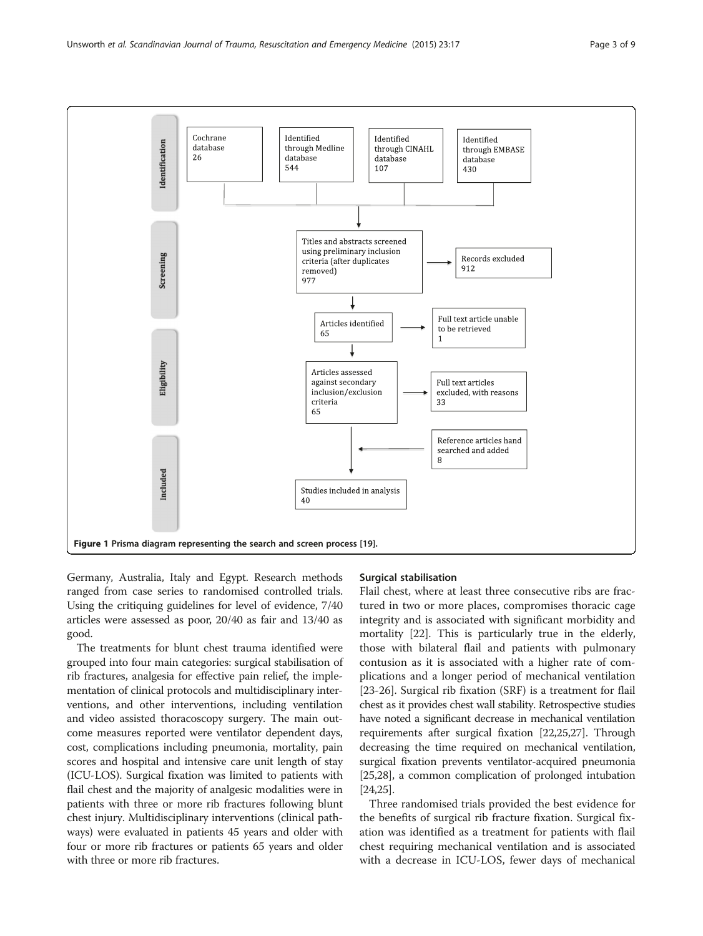<span id="page-2-0"></span>

Germany, Australia, Italy and Egypt. Research methods ranged from case series to randomised controlled trials. Using the critiquing guidelines for level of evidence, 7/40 articles were assessed as poor, 20/40 as fair and 13/40 as good.

The treatments for blunt chest trauma identified were grouped into four main categories: surgical stabilisation of rib fractures, analgesia for effective pain relief, the implementation of clinical protocols and multidisciplinary interventions, and other interventions, including ventilation and video assisted thoracoscopy surgery. The main outcome measures reported were ventilator dependent days, cost, complications including pneumonia, mortality, pain scores and hospital and intensive care unit length of stay (ICU-LOS). Surgical fixation was limited to patients with flail chest and the majority of analgesic modalities were in patients with three or more rib fractures following blunt chest injury. Multidisciplinary interventions (clinical pathways) were evaluated in patients 45 years and older with four or more rib fractures or patients 65 years and older with three or more rib fractures.

#### Surgical stabilisation

Flail chest, where at least three consecutive ribs are fractured in two or more places, compromises thoracic cage integrity and is associated with significant morbidity and mortality [\[22](#page-7-0)]. This is particularly true in the elderly, those with bilateral flail and patients with pulmonary contusion as it is associated with a higher rate of complications and a longer period of mechanical ventilation [[23-26](#page-7-0)]. Surgical rib fixation (SRF) is a treatment for flail chest as it provides chest wall stability. Retrospective studies have noted a significant decrease in mechanical ventilation requirements after surgical fixation [\[22,25,27](#page-7-0)]. Through decreasing the time required on mechanical ventilation, surgical fixation prevents ventilator-acquired pneumonia [[25](#page-7-0),[28](#page-7-0)], a common complication of prolonged intubation [[24](#page-7-0),[25](#page-7-0)].

Three randomised trials provided the best evidence for the benefits of surgical rib fracture fixation. Surgical fixation was identified as a treatment for patients with flail chest requiring mechanical ventilation and is associated with a decrease in ICU-LOS, fewer days of mechanical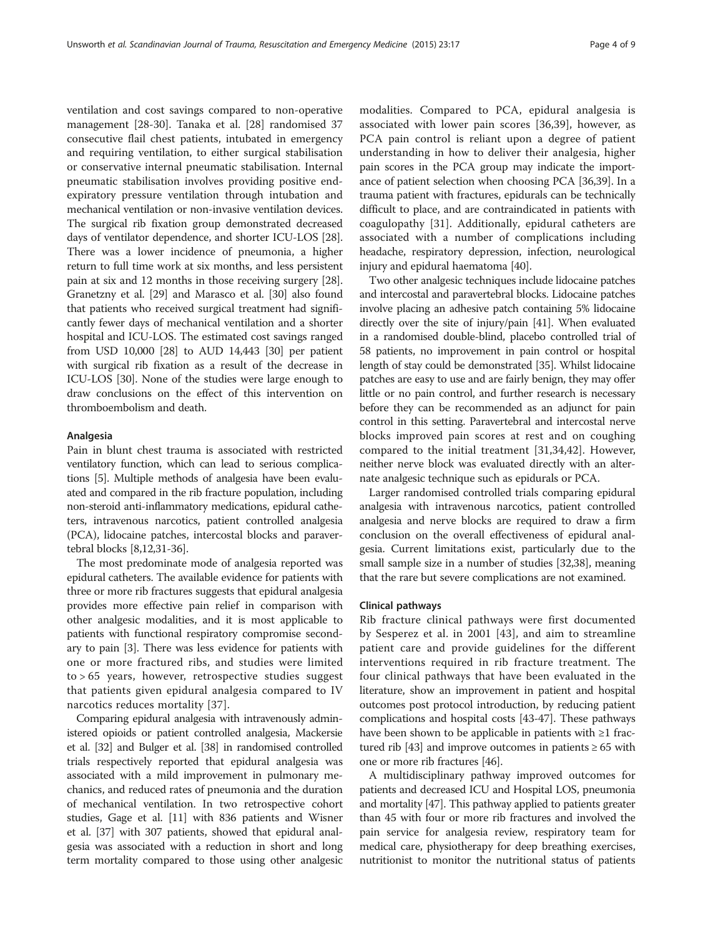ventilation and cost savings compared to non-operative management [[28-30\]](#page-7-0). Tanaka et al. [\[28](#page-7-0)] randomised 37 consecutive flail chest patients, intubated in emergency and requiring ventilation, to either surgical stabilisation or conservative internal pneumatic stabilisation. Internal pneumatic stabilisation involves providing positive endexpiratory pressure ventilation through intubation and mechanical ventilation or non-invasive ventilation devices. The surgical rib fixation group demonstrated decreased days of ventilator dependence, and shorter ICU-LOS [[28](#page-7-0)]. There was a lower incidence of pneumonia, a higher return to full time work at six months, and less persistent pain at six and 12 months in those receiving surgery [[28](#page-7-0)]. Granetzny et al. [[29](#page-7-0)] and Marasco et al. [[30](#page-7-0)] also found that patients who received surgical treatment had significantly fewer days of mechanical ventilation and a shorter hospital and ICU-LOS. The estimated cost savings ranged from USD 10,000 [\[28](#page-7-0)] to AUD 14,443 [[30](#page-7-0)] per patient with surgical rib fixation as a result of the decrease in ICU-LOS [[30](#page-7-0)]. None of the studies were large enough to draw conclusions on the effect of this intervention on thromboembolism and death.

#### Analgesia

Pain in blunt chest trauma is associated with restricted ventilatory function, which can lead to serious complications [\[5\]](#page-6-0). Multiple methods of analgesia have been evaluated and compared in the rib fracture population, including non-steroid anti-inflammatory medications, epidural catheters, intravenous narcotics, patient controlled analgesia (PCA), lidocaine patches, intercostal blocks and paravertebral blocks [\[8](#page-6-0)[,12,31-36\]](#page-7-0).

The most predominate mode of analgesia reported was epidural catheters. The available evidence for patients with three or more rib fractures suggests that epidural analgesia provides more effective pain relief in comparison with other analgesic modalities, and it is most applicable to patients with functional respiratory compromise secondary to pain [[3\]](#page-6-0). There was less evidence for patients with one or more fractured ribs, and studies were limited to > 65 years, however, retrospective studies suggest that patients given epidural analgesia compared to IV narcotics reduces mortality [[37](#page-7-0)].

Comparing epidural analgesia with intravenously administered opioids or patient controlled analgesia, Mackersie et al. [\[32](#page-7-0)] and Bulger et al. [\[38\]](#page-7-0) in randomised controlled trials respectively reported that epidural analgesia was associated with a mild improvement in pulmonary mechanics, and reduced rates of pneumonia and the duration of mechanical ventilation. In two retrospective cohort studies, Gage et al. [[11](#page-7-0)] with 836 patients and Wisner et al. [\[37\]](#page-7-0) with 307 patients, showed that epidural analgesia was associated with a reduction in short and long term mortality compared to those using other analgesic modalities. Compared to PCA, epidural analgesia is associated with lower pain scores [\[36,39](#page-7-0)], however, as PCA pain control is reliant upon a degree of patient understanding in how to deliver their analgesia, higher pain scores in the PCA group may indicate the importance of patient selection when choosing PCA [\[36,39\]](#page-7-0). In a trauma patient with fractures, epidurals can be technically difficult to place, and are contraindicated in patients with coagulopathy [[31\]](#page-7-0). Additionally, epidural catheters are associated with a number of complications including headache, respiratory depression, infection, neurological injury and epidural haematoma [[40](#page-7-0)].

Two other analgesic techniques include lidocaine patches and intercostal and paravertebral blocks. Lidocaine patches involve placing an adhesive patch containing 5% lidocaine directly over the site of injury/pain [\[41](#page-7-0)]. When evaluated in a randomised double-blind, placebo controlled trial of 58 patients, no improvement in pain control or hospital length of stay could be demonstrated [[35](#page-7-0)]. Whilst lidocaine patches are easy to use and are fairly benign, they may offer little or no pain control, and further research is necessary before they can be recommended as an adjunct for pain control in this setting. Paravertebral and intercostal nerve blocks improved pain scores at rest and on coughing compared to the initial treatment [[31,34,42](#page-7-0)]. However, neither nerve block was evaluated directly with an alternate analgesic technique such as epidurals or PCA.

Larger randomised controlled trials comparing epidural analgesia with intravenous narcotics, patient controlled analgesia and nerve blocks are required to draw a firm conclusion on the overall effectiveness of epidural analgesia. Current limitations exist, particularly due to the small sample size in a number of studies [[32,38\]](#page-7-0), meaning that the rare but severe complications are not examined.

#### Clinical pathways

Rib fracture clinical pathways were first documented by Sesperez et al. in 2001 [[43\]](#page-7-0), and aim to streamline patient care and provide guidelines for the different interventions required in rib fracture treatment. The four clinical pathways that have been evaluated in the literature, show an improvement in patient and hospital outcomes post protocol introduction, by reducing patient complications and hospital costs [\[43-47\]](#page-7-0). These pathways have been shown to be applicable in patients with ≥1 frac-tured rib [\[43\]](#page-7-0) and improve outcomes in patients  $\geq 65$  with one or more rib fractures [\[46\]](#page-7-0).

A multidisciplinary pathway improved outcomes for patients and decreased ICU and Hospital LOS, pneumonia and mortality [\[47\]](#page-7-0). This pathway applied to patients greater than 45 with four or more rib fractures and involved the pain service for analgesia review, respiratory team for medical care, physiotherapy for deep breathing exercises, nutritionist to monitor the nutritional status of patients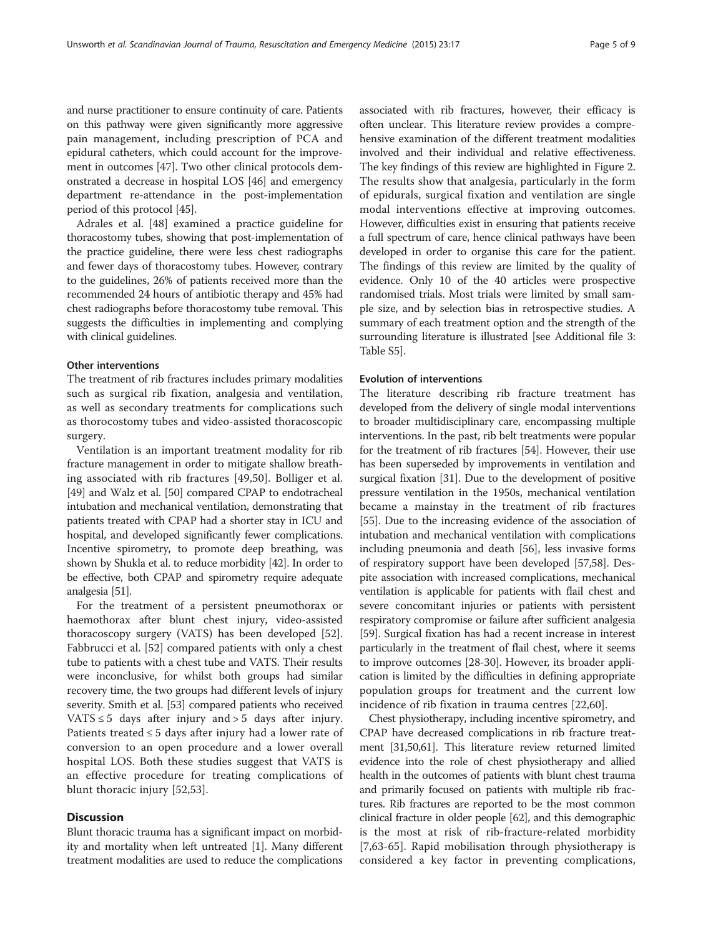and nurse practitioner to ensure continuity of care. Patients on this pathway were given significantly more aggressive pain management, including prescription of PCA and epidural catheters, which could account for the improvement in outcomes [[47](#page-7-0)]. Two other clinical protocols demonstrated a decrease in hospital LOS [\[46\]](#page-7-0) and emergency department re-attendance in the post-implementation period of this protocol [[45\]](#page-7-0).

Adrales et al. [\[48](#page-7-0)] examined a practice guideline for thoracostomy tubes, showing that post-implementation of the practice guideline, there were less chest radiographs and fewer days of thoracostomy tubes. However, contrary to the guidelines, 26% of patients received more than the recommended 24 hours of antibiotic therapy and 45% had chest radiographs before thoracostomy tube removal. This suggests the difficulties in implementing and complying with clinical guidelines.

#### Other interventions

The treatment of rib fractures includes primary modalities such as surgical rib fixation, analgesia and ventilation, as well as secondary treatments for complications such as thorocostomy tubes and video-assisted thoracoscopic surgery.

Ventilation is an important treatment modality for rib fracture management in order to mitigate shallow breathing associated with rib fractures [[49,50\]](#page-7-0). Bolliger et al. [[49](#page-7-0)] and Walz et al. [[50](#page-7-0)] compared CPAP to endotracheal intubation and mechanical ventilation, demonstrating that patients treated with CPAP had a shorter stay in ICU and hospital, and developed significantly fewer complications. Incentive spirometry, to promote deep breathing, was shown by Shukla et al. to reduce morbidity [[42](#page-7-0)]. In order to be effective, both CPAP and spirometry require adequate analgesia [\[51\]](#page-7-0).

For the treatment of a persistent pneumothorax or haemothorax after blunt chest injury, video-assisted thoracoscopy surgery (VATS) has been developed [\[52](#page-7-0)]. Fabbrucci et al. [[52](#page-7-0)] compared patients with only a chest tube to patients with a chest tube and VATS. Their results were inconclusive, for whilst both groups had similar recovery time, the two groups had different levels of injury severity. Smith et al. [\[53\]](#page-7-0) compared patients who received VATS  $\leq$  5 days after injury and  $>$  5 days after injury. Patients treated  $\leq$  5 days after injury had a lower rate of conversion to an open procedure and a lower overall hospital LOS. Both these studies suggest that VATS is an effective procedure for treating complications of blunt thoracic injury [[52,53](#page-7-0)].

# **Discussion**

Blunt thoracic trauma has a significant impact on morbidity and mortality when left untreated [\[1](#page-6-0)]. Many different treatment modalities are used to reduce the complications

associated with rib fractures, however, their efficacy is often unclear. This literature review provides a comprehensive examination of the different treatment modalities involved and their individual and relative effectiveness. The key findings of this review are highlighted in Figure [2](#page-5-0). The results show that analgesia, particularly in the form of epidurals, surgical fixation and ventilation are single modal interventions effective at improving outcomes. However, difficulties exist in ensuring that patients receive a full spectrum of care, hence clinical pathways have been developed in order to organise this care for the patient. The findings of this review are limited by the quality of evidence. Only 10 of the 40 articles were prospective randomised trials. Most trials were limited by small sample size, and by selection bias in retrospective studies. A summary of each treatment option and the strength of the surrounding literature is illustrated [see Additional file [3](#page-6-0): Table S5].

#### Evolution of interventions

The literature describing rib fracture treatment has developed from the delivery of single modal interventions to broader multidisciplinary care, encompassing multiple interventions. In the past, rib belt treatments were popular for the treatment of rib fractures [[54](#page-7-0)]. However, their use has been superseded by improvements in ventilation and surgical fixation [[31](#page-7-0)]. Due to the development of positive pressure ventilation in the 1950s, mechanical ventilation became a mainstay in the treatment of rib fractures [[55](#page-7-0)]. Due to the increasing evidence of the association of intubation and mechanical ventilation with complications including pneumonia and death [\[56\]](#page-7-0), less invasive forms of respiratory support have been developed [[57,58\]](#page-7-0). Despite association with increased complications, mechanical ventilation is applicable for patients with flail chest and severe concomitant injuries or patients with persistent respiratory compromise or failure after sufficient analgesia [[59](#page-8-0)]. Surgical fixation has had a recent increase in interest particularly in the treatment of flail chest, where it seems to improve outcomes [\[28-30\]](#page-7-0). However, its broader application is limited by the difficulties in defining appropriate population groups for treatment and the current low incidence of rib fixation in trauma centres [\[22](#page-7-0)[,60](#page-8-0)].

Chest physiotherapy, including incentive spirometry, and CPAP have decreased complications in rib fracture treatment [[31,50,](#page-7-0)[61](#page-8-0)]. This literature review returned limited evidence into the role of chest physiotherapy and allied health in the outcomes of patients with blunt chest trauma and primarily focused on patients with multiple rib fractures. Rib fractures are reported to be the most common clinical fracture in older people [[62](#page-8-0)], and this demographic is the most at risk of rib-fracture-related morbidity [[7](#page-6-0)[,63](#page-8-0)-[65\]](#page-8-0). Rapid mobilisation through physiotherapy is considered a key factor in preventing complications,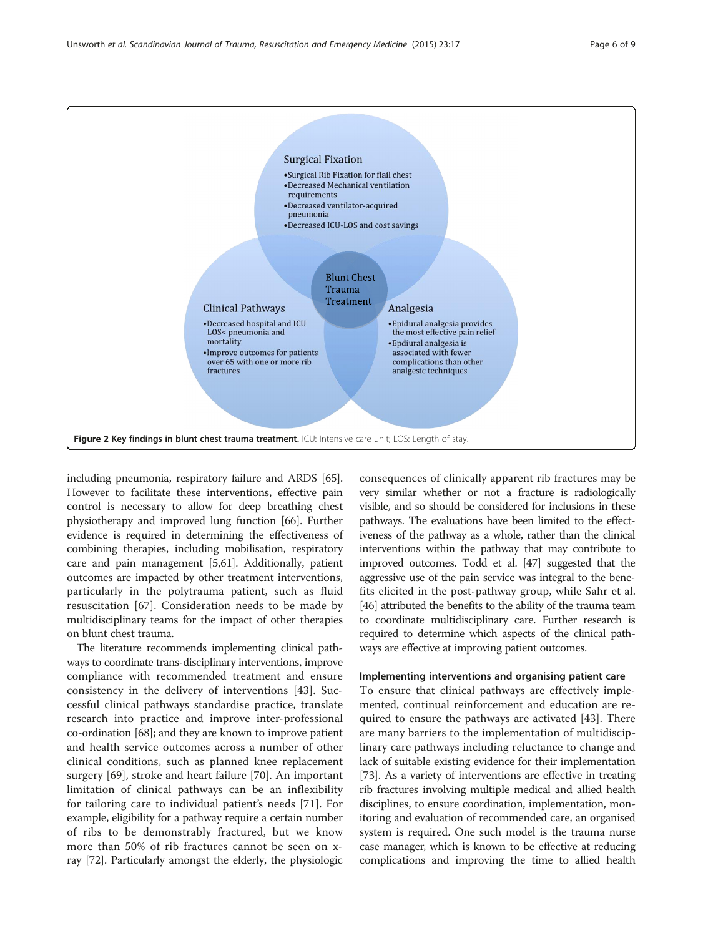<span id="page-5-0"></span>

including pneumonia, respiratory failure and ARDS [[65](#page-8-0)]. However to facilitate these interventions, effective pain control is necessary to allow for deep breathing chest physiotherapy and improved lung function [\[66](#page-8-0)]. Further evidence is required in determining the effectiveness of combining therapies, including mobilisation, respiratory care and pain management [\[5,](#page-6-0)[61\]](#page-8-0). Additionally, patient outcomes are impacted by other treatment interventions, particularly in the polytrauma patient, such as fluid resuscitation [\[67](#page-8-0)]. Consideration needs to be made by multidisciplinary teams for the impact of other therapies on blunt chest trauma.

The literature recommends implementing clinical pathways to coordinate trans-disciplinary interventions, improve compliance with recommended treatment and ensure consistency in the delivery of interventions [[43](#page-7-0)]. Successful clinical pathways standardise practice, translate research into practice and improve inter-professional co-ordination [\[68\]](#page-8-0); and they are known to improve patient and health service outcomes across a number of other clinical conditions, such as planned knee replacement surgery [\[69](#page-8-0)], stroke and heart failure [\[70](#page-8-0)]. An important limitation of clinical pathways can be an inflexibility for tailoring care to individual patient's needs [\[71](#page-8-0)]. For example, eligibility for a pathway require a certain number of ribs to be demonstrably fractured, but we know more than 50% of rib fractures cannot be seen on xray [[72](#page-8-0)]. Particularly amongst the elderly, the physiologic consequences of clinically apparent rib fractures may be very similar whether or not a fracture is radiologically visible, and so should be considered for inclusions in these pathways. The evaluations have been limited to the effectiveness of the pathway as a whole, rather than the clinical interventions within the pathway that may contribute to improved outcomes. Todd et al. [\[47\]](#page-7-0) suggested that the aggressive use of the pain service was integral to the benefits elicited in the post-pathway group, while Sahr et al. [[46](#page-7-0)] attributed the benefits to the ability of the trauma team to coordinate multidisciplinary care. Further research is required to determine which aspects of the clinical pathways are effective at improving patient outcomes.

#### Implementing interventions and organising patient care

To ensure that clinical pathways are effectively implemented, continual reinforcement and education are required to ensure the pathways are activated [\[43](#page-7-0)]. There are many barriers to the implementation of multidisciplinary care pathways including reluctance to change and lack of suitable existing evidence for their implementation [[73](#page-8-0)]. As a variety of interventions are effective in treating rib fractures involving multiple medical and allied health disciplines, to ensure coordination, implementation, monitoring and evaluation of recommended care, an organised system is required. One such model is the trauma nurse case manager, which is known to be effective at reducing complications and improving the time to allied health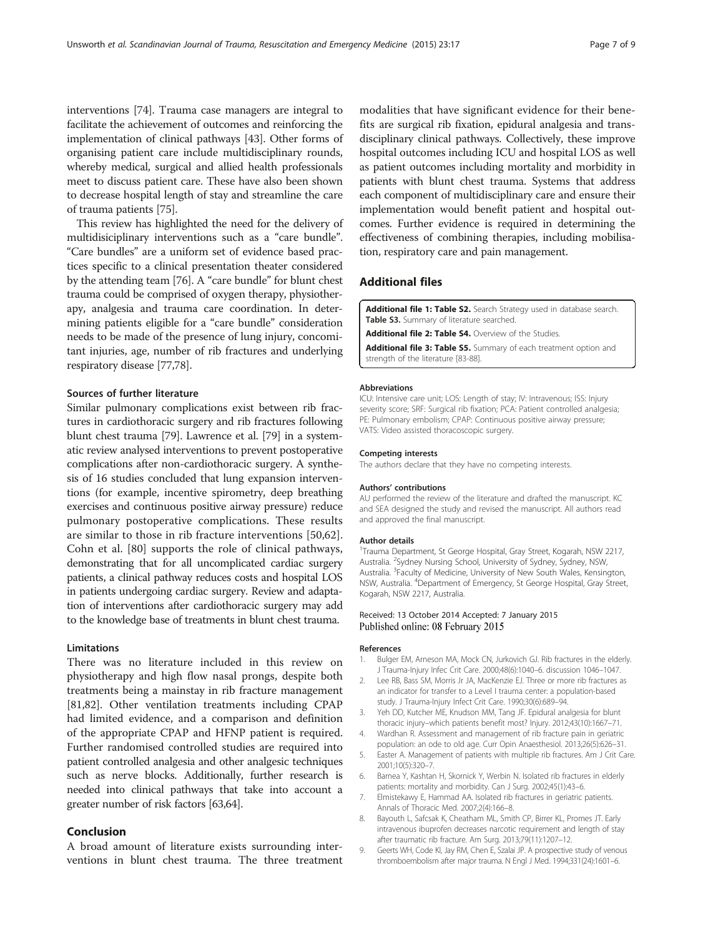<span id="page-6-0"></span>interventions [\[74\]](#page-8-0). Trauma case managers are integral to facilitate the achievement of outcomes and reinforcing the implementation of clinical pathways [\[43\]](#page-7-0). Other forms of organising patient care include multidisciplinary rounds, whereby medical, surgical and allied health professionals meet to discuss patient care. These have also been shown to decrease hospital length of stay and streamline the care of trauma patients [[75](#page-8-0)].

This review has highlighted the need for the delivery of multidisiciplinary interventions such as a "care bundle". "Care bundles" are a uniform set of evidence based practices specific to a clinical presentation theater considered by the attending team [\[76](#page-8-0)]. A "care bundle" for blunt chest trauma could be comprised of oxygen therapy, physiotherapy, analgesia and trauma care coordination. In determining patients eligible for a "care bundle" consideration needs to be made of the presence of lung injury, concomitant injuries, age, number of rib fractures and underlying respiratory disease [\[77,78](#page-8-0)].

## Sources of further literature

Similar pulmonary complications exist between rib fractures in cardiothoracic surgery and rib fractures following blunt chest trauma [[79](#page-8-0)]. Lawrence et al. [\[79\]](#page-8-0) in a systematic review analysed interventions to prevent postoperative complications after non-cardiothoracic surgery. A synthesis of 16 studies concluded that lung expansion interventions (for example, incentive spirometry, deep breathing exercises and continuous positive airway pressure) reduce pulmonary postoperative complications. These results are similar to those in rib fracture interventions [[50,](#page-7-0)[62](#page-8-0)]. Cohn et al. [\[80](#page-8-0)] supports the role of clinical pathways, demonstrating that for all uncomplicated cardiac surgery patients, a clinical pathway reduces costs and hospital LOS in patients undergoing cardiac surgery. Review and adaptation of interventions after cardiothoracic surgery may add to the knowledge base of treatments in blunt chest trauma.

#### Limitations

There was no literature included in this review on physiotherapy and high flow nasal prongs, despite both treatments being a mainstay in rib fracture management [[81,82\]](#page-8-0). Other ventilation treatments including CPAP had limited evidence, and a comparison and definition of the appropriate CPAP and HFNP patient is required. Further randomised controlled studies are required into patient controlled analgesia and other analgesic techniques such as nerve blocks. Additionally, further research is needed into clinical pathways that take into account a greater number of risk factors [\[63,64\]](#page-8-0).

#### Conclusion

A broad amount of literature exists surrounding interventions in blunt chest trauma. The three treatment modalities that have significant evidence for their benefits are surgical rib fixation, epidural analgesia and transdisciplinary clinical pathways. Collectively, these improve hospital outcomes including ICU and hospital LOS as well as patient outcomes including mortality and morbidity in patients with blunt chest trauma. Systems that address each component of multidisciplinary care and ensure their implementation would benefit patient and hospital outcomes. Further evidence is required in determining the effectiveness of combining therapies, including mobilisation, respiratory care and pain management.

#### Additional files

[Additional file 1: Table S2.](http://www.sjtrem.com/content/supplementary/s13049-015-0091-5-s1.docx) Search Strategy used in database search. Table S3. Summary of literature searched.

[Additional file 2: Table S4.](http://www.sjtrem.com/content/supplementary/s13049-015-0091-5-s2.docx) Overview of the Studies

[Additional file 3: Table S5.](http://www.sjtrem.com/content/supplementary/s13049-015-0091-5-s3.docx) Summary of each treatment option and strength of the literature [\[83-88\]](#page-8-0).

#### Abbreviations

ICU: Intensive care unit; LOS: Length of stay; IV: Intravenous; ISS: Injury severity score; SRF: Surgical rib fixation: PCA: Patient controlled analgesia; PE: Pulmonary embolism; CPAP: Continuous positive airway pressure; VATS: Video assisted thoracoscopic surgery.

#### Competing interests

The authors declare that they have no competing interests.

#### Authors' contributions

AU performed the review of the literature and drafted the manuscript. KC and SEA designed the study and revised the manuscript. All authors read and approved the final manuscript.

#### Author details

<sup>1</sup>Trauma Department, St George Hospital, Gray Street, Kogarah, NSW 2217 Australia. <sup>2</sup> Sydney Nursing School, University of Sydney, Sydney, NSW, Australia. <sup>3</sup> Faculty of Medicine, University of New South Wales, Kensington NSW, Australia. <sup>4</sup> Department of Emergency, St George Hospital, Gray Street, Kogarah, NSW 2217, Australia.

#### Received: 13 October 2014 Accepted: 7 January 2015 Published online: 08 February 2015

#### References

- Bulger EM, Arneson MA, Mock CN, Jurkovich GJ. Rib fractures in the elderly. J Trauma-Injury Infec Crit Care. 2000;48(6):1040–6. discussion 1046–1047.
- 2. Lee RB, Bass SM, Morris Jr JA, MacKenzie EJ. Three or more rib fractures as an indicator for transfer to a Level I trauma center: a population-based study. J Trauma-Injury Infect Crit Care. 1990;30(6):689–94.
- 3. Yeh DD, Kutcher ME, Knudson MM, Tang JF. Epidural analgesia for blunt thoracic injury–which patients benefit most? Injury. 2012;43(10):1667–71.
- 4. Wardhan R. Assessment and management of rib fracture pain in geriatric population: an ode to old age. Curr Opin Anaesthesiol. 2013;26(5):626–31.
- 5. Easter A. Management of patients with multiple rib fractures. Am J Crit Care. 2001;10(5):320–7.
- 6. Barnea Y, Kashtan H, Skornick Y, Werbin N. Isolated rib fractures in elderly patients: mortality and morbidity. Can J Surg. 2002;45(1):43–6.
- 7. Elmistekawy E, Hammad AA. Isolated rib fractures in geriatric patients. Annals of Thoracic Med. 2007;2(4):166–8.
- 8. Bayouth L, Safcsak K, Cheatham ML, Smith CP, Birrer KL, Promes JT. Early intravenous ibuprofen decreases narcotic requirement and length of stay after traumatic rib fracture. Am Surg. 2013;79(11):1207–12.
- 9. Geerts WH, Code KI, Jay RM, Chen E, Szalai JP. A prospective study of venous thromboembolism after major trauma. N Engl J Med. 1994;331(24):1601–6.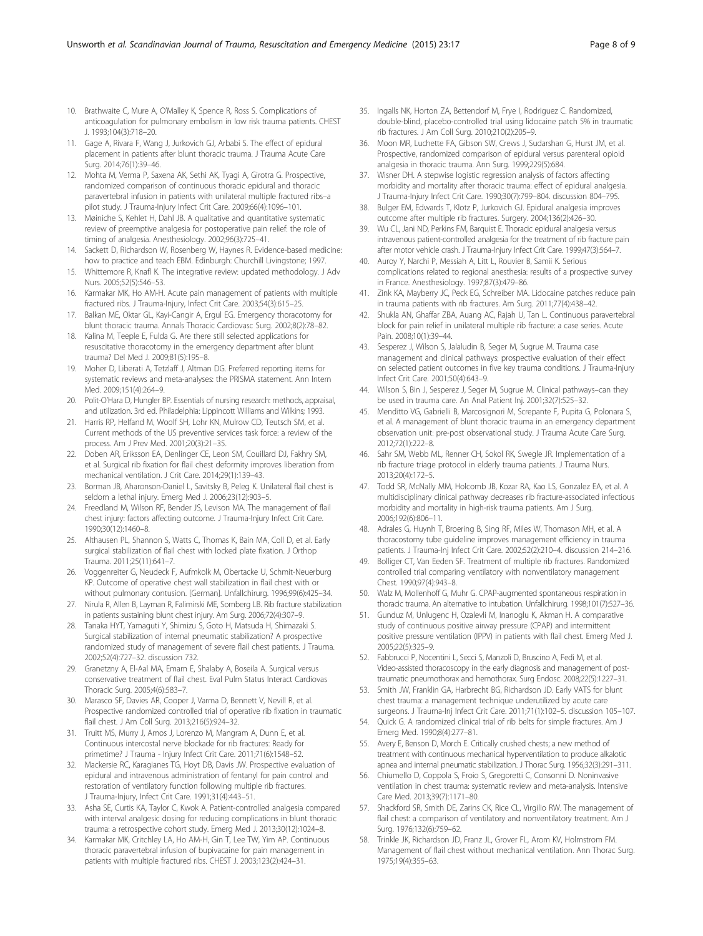- <span id="page-7-0"></span>10. Brathwaite C, Mure A, O'Malley K, Spence R, Ross S. Complications of anticoagulation for pulmonary embolism in low risk trauma patients. CHEST J. 1993;104(3):718–20.
- 11. Gage A, Rivara F, Wang J, Jurkovich GJ, Arbabi S. The effect of epidural placement in patients after blunt thoracic trauma. J Trauma Acute Care Surg. 2014;76(1):39–46.
- 12. Mohta M, Verma P, Saxena AK, Sethi AK, Tyagi A, Girotra G. Prospective, randomized comparison of continuous thoracic epidural and thoracic paravertebral infusion in patients with unilateral multiple fractured ribs–a pilot study. J Trauma-Injury Infect Crit Care. 2009;66(4):1096–101.
- 13. Møiniche S, Kehlet H, Dahl JB. A qualitative and quantitative systematic review of preemptive analgesia for postoperative pain relief: the role of timing of analgesia. Anesthesiology. 2002;96(3):725–41.
- 14. Sackett D, Richardson W, Rosenberg W, Haynes R. Evidence-based medicine: how to practice and teach EBM. Edinburgh: Churchill Livingstone; 1997.
- 15. Whittemore R, Knafl K. The integrative review: updated methodology. J Adv Nurs. 2005;52(5):546–53.
- 16. Karmakar MK, Ho AM-H. Acute pain management of patients with multiple fractured ribs. J Trauma-Injury, Infect Crit Care. 2003;54(3):615–25.
- 17. Balkan ME, Oktar GL, Kayi-Cangir A, Ergul EG. Emergency thoracotomy for blunt thoracic trauma. Annals Thoracic Cardiovasc Surg. 2002;8(2):78–82.
- 18. Kalina M, Teeple E, Fulda G. Are there still selected applications for resuscitative thoracotomy in the emergency department after blunt trauma? Del Med J. 2009;81(5):195–8.
- 19. Moher D, Liberati A, Tetzlaff J, Altman DG. Preferred reporting items for systematic reviews and meta-analyses: the PRISMA statement. Ann Intern Med. 2009;151(4):264–9.
- 20. Polit-O'Hara D, Hungler BP. Essentials of nursing research: methods, appraisal, and utilization. 3rd ed. Philadelphia: Lippincott Williams and Wilkins; 1993.
- 21. Harris RP, Helfand M, Woolf SH, Lohr KN, Mulrow CD, Teutsch SM, et al. Current methods of the US preventive services task force: a review of the process. Am J Prev Med. 2001;20(3):21–35.
- 22. Doben AR, Eriksson EA, Denlinger CE, Leon SM, Couillard DJ, Fakhry SM, et al. Surgical rib fixation for flail chest deformity improves liberation from mechanical ventilation. J Crit Care. 2014;29(1):139–43.
- 23. Borman JB, Aharonson-Daniel L, Savitsky B, Peleg K. Unilateral flail chest is seldom a lethal injury. Emerg Med J. 2006;23(12):903–5.
- 24. Freedland M, Wilson RF, Bender JS, Levison MA. The management of flail chest injury: factors affecting outcome. J Trauma-Injury Infect Crit Care. 1990;30(12):1460–8.
- 25. Althausen PL, Shannon S, Watts C, Thomas K, Bain MA, Coll D, et al. Early surgical stabilization of flail chest with locked plate fixation. J Orthop Trauma. 2011;25(11):641–7.
- 26. Voggenreiter G, Neudeck F, Aufmkolk M, Obertacke U, Schmit-Neuerburg KP. Outcome of operative chest wall stabilization in flail chest with or without pulmonary contusion. [German]. Unfallchirurg. 1996;99(6):425–34.
- 27. Nirula R, Allen B, Layman R, Falimirski ME, Somberg LB. Rib fracture stabilization in patients sustaining blunt chest injury. Am Surg. 2006;72(4):307–9.
- 28. Tanaka HYT, Yamaguti Y, Shimizu S, Goto H, Matsuda H, Shimazaki S. Surgical stabilization of internal pneumatic stabilization? A prospective randomized study of management of severe flail chest patients. J Trauma. 2002;52(4):727–32. discussion 732.
- 29. Granetzny A, El-Aal MA, Emam E, Shalaby A, Boseila A. Surgical versus conservative treatment of flail chest. Eval Pulm Status Interact Cardiovas Thoracic Surg. 2005;4(6):583–7.
- 30. Marasco SF, Davies AR, Cooper J, Varma D, Bennett V, Nevill R, et al. Prospective randomized controlled trial of operative rib fixation in traumatic flail chest. J Am Coll Surg. 2013;216(5):924–32.
- 31. Truitt MS, Murry J, Amos J, Lorenzo M, Mangram A, Dunn E, et al. Continuous intercostal nerve blockade for rib fractures: Ready for primetime? J Trauma - Injury Infect Crit Care. 2011;71(6):1548–52.
- 32. Mackersie RC, Karagianes TG, Hoyt DB, Davis JW. Prospective evaluation of epidural and intravenous administration of fentanyl for pain control and restoration of ventilatory function following multiple rib fractures. J Trauma-Injury, Infect Crit Care. 1991;31(4):443–51.
- 33. Asha SE, Curtis KA, Taylor C, Kwok A. Patient-controlled analgesia compared with interval analgesic dosing for reducing complications in blunt thoracic trauma: a retrospective cohort study. Emerg Med J. 2013;30(12):1024–8.
- 34. Karmakar MK, Critchley LA, Ho AM-H, Gin T, Lee TW, Yim AP. Continuous thoracic paravertebral infusion of bupivacaine for pain management in patients with multiple fractured ribs. CHEST J. 2003;123(2):424–31.
- 35. Ingalls NK, Horton ZA, Bettendorf M, Frye I, Rodriguez C. Randomized, double-blind, placebo-controlled trial using lidocaine patch 5% in traumatic rib fractures. J Am Coll Surg. 2010;210(2):205–9.
- 36. Moon MR, Luchette FA, Gibson SW, Crews J, Sudarshan G, Hurst JM, et al. Prospective, randomized comparison of epidural versus parenteral opioid analgesia in thoracic trauma. Ann Surg. 1999;229(5):684.
- 37. Wisner DH. A stepwise logistic regression analysis of factors affecting morbidity and mortality after thoracic trauma: effect of epidural analgesia. J Trauma-Injury Infect Crit Care. 1990;30(7):799–804. discussion 804–795.
- 38. Bulger EM, Edwards T, Klotz P, Jurkovich GJ. Epidural analgesia improves outcome after multiple rib fractures. Surgery. 2004;136(2):426–30.
- 39. Wu CL, Jani ND, Perkins FM, Barquist E. Thoracic epidural analgesia versus intravenous patient-controlled analgesia for the treatment of rib fracture pain after motor vehicle crash. J Trauma-Injury Infect Crit Care. 1999;47(3):564–7.
- 40. Auroy Y, Narchi P, Messiah A, Litt L, Rouvier B, Samii K. Serious complications related to regional anesthesia: results of a prospective survey in France. Anesthesiology. 1997;87(3):479–86.
- 41. Zink KA, Mayberry JC, Peck EG, Schreiber MA. Lidocaine patches reduce pain in trauma patients with rib fractures. Am Surg. 2011;77(4):438–42.
- 42. Shukla AN, Ghaffar ZBA, Auang AC, Rajah U, Tan L. Continuous paravertebral block for pain relief in unilateral multiple rib fracture: a case series. Acute Pain. 2008;10(1):39–44.
- 43. Sesperez J, Wilson S, Jalaludin B, Seger M, Sugrue M. Trauma case management and clinical pathways: prospective evaluation of their effect on selected patient outcomes in five key trauma conditions. J Trauma-Injury Infect Crit Care. 2001;50(4):643–9.
- 44. Wilson S, Bin J, Sesperez J, Seger M, Sugrue M. Clinical pathways–can they be used in trauma care. An Anal Patient Inj. 2001;32(7):525–32.
- 45. Menditto VG, Gabrielli B, Marcosignori M, Screpante F, Pupita G, Polonara S, et al. A management of blunt thoracic trauma in an emergency department observation unit: pre-post observational study. J Trauma Acute Care Surg. 2012;72(1):222–8.
- 46. Sahr SM, Webb ML, Renner CH, Sokol RK, Swegle JR. Implementation of a rib fracture triage protocol in elderly trauma patients. J Trauma Nurs. 2013;20(4):172–5.
- 47. Todd SR, McNally MM, Holcomb JB, Kozar RA, Kao LS, Gonzalez EA, et al. A multidisciplinary clinical pathway decreases rib fracture-associated infectious morbidity and mortality in high-risk trauma patients. Am J Surg. 2006;192(6):806–11.
- 48. Adrales G, Huynh T, Broering B, Sing RF, Miles W, Thomason MH, et al. A thoracostomy tube guideline improves management efficiency in trauma patients. J Trauma-Inj Infect Crit Care. 2002;52(2):210–4. discussion 214–216.
- 49. Bolliger CT, Van Eeden SF. Treatment of multiple rib fractures. Randomized controlled trial comparing ventilatory with nonventilatory management Chest. 1990;97(4):943–8.
- 50. Walz M, Mollenhoff G, Muhr G. CPAP-augmented spontaneous respiration in thoracic trauma. An alternative to intubation. Unfallchirurg. 1998;101(7):527–36.
- 51. Gunduz M, Unlugenc H, Ozalevli M, Inanoglu K, Akman H. A comparative study of continuous positive airway pressure (CPAP) and intermittent positive pressure ventilation (IPPV) in patients with flail chest. Emerg Med J. 2005;22(5):325–9.
- 52. Fabbrucci P, Nocentini L, Secci S, Manzoli D, Bruscino A, Fedi M, et al. Video-assisted thoracoscopy in the early diagnosis and management of posttraumatic pneumothorax and hemothorax. Surg Endosc. 2008;22(5):1227–31.
- 53. Smith JW, Franklin GA, Harbrecht BG, Richardson JD. Early VATS for blunt chest trauma: a management technique underutilized by acute care surgeons. J Trauma-Inj Infect Crit Care. 2011;71(1):102-5. discussion 105-107.
- 54. Quick G. A randomized clinical trial of rib belts for simple fractures. Am J Emerg Med. 1990;8(4):277–81.
- 55. Avery E, Benson D, Morch E. Critically crushed chests; a new method of treatment with continuous mechanical hyperventilation to produce alkalotic apnea and internal pneumatic stabilization. J Thorac Surg. 1956;32(3):291–311.
- 56. Chiumello D, Coppola S, Froio S, Gregoretti C, Consonni D. Noninvasive ventilation in chest trauma: systematic review and meta-analysis. Intensive Care Med. 2013;39(7):1171–80.
- 57. Shackford SR, Smith DE, Zarins CK, Rice CL, Virgilio RW. The management of flail chest: a comparison of ventilatory and nonventilatory treatment. Am J Surg. 1976;132(6):759–62.
- 58. Trinkle JK, Richardson JD, Franz JL, Grover FL, Arom KV, Holmstrom FM. Management of flail chest without mechanical ventilation. Ann Thorac Surg. 1975;19(4):355–63.